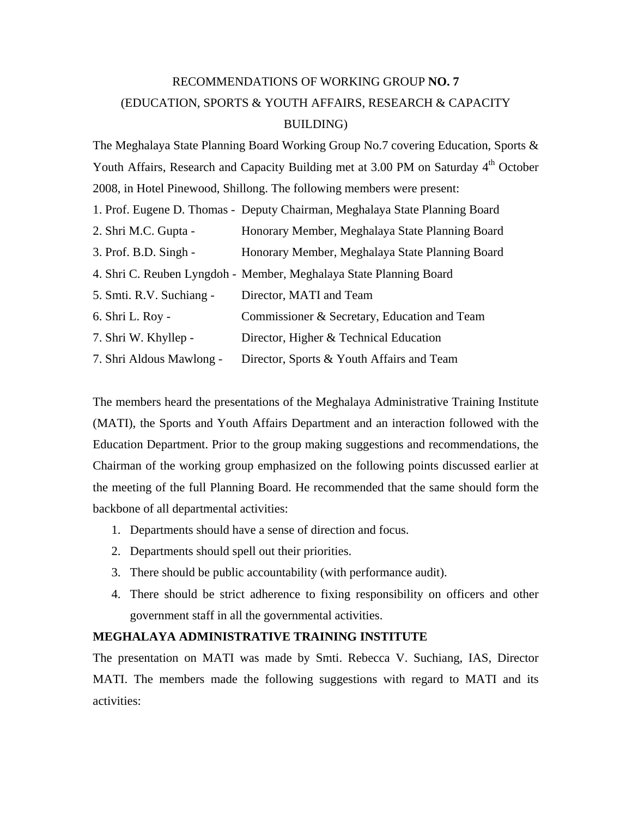## RECOMMENDATIONS OF WORKING GROUP **NO. 7**  (EDUCATION, SPORTS & YOUTH AFFAIRS, RESEARCH & CAPACITY BUILDING)

The Meghalaya State Planning Board Working Group No.7 covering Education, Sports & Youth Affairs, Research and Capacity Building met at 3.00 PM on Saturday 4<sup>th</sup> October 2008, in Hotel Pinewood, Shillong. The following members were present:

|                          | 1. Prof. Eugene D. Thomas - Deputy Chairman, Meghalaya State Planning Board |
|--------------------------|-----------------------------------------------------------------------------|
| 2. Shri M.C. Gupta -     | Honorary Member, Meghalaya State Planning Board                             |
| 3. Prof. B.D. Singh -    | Honorary Member, Meghalaya State Planning Board                             |
|                          | 4. Shri C. Reuben Lyngdoh - Member, Meghalaya State Planning Board          |
| 5. Smti. R.V. Suchiang - | Director, MATI and Team                                                     |
| 6. Shri L. Roy -         | Commissioner & Secretary, Education and Team                                |
| 7. Shri W. Khyllep -     | Director, Higher & Technical Education                                      |
| 7. Shri Aldous Mawlong - | Director, Sports & Youth Affairs and Team                                   |

The members heard the presentations of the Meghalaya Administrative Training Institute (MATI), the Sports and Youth Affairs Department and an interaction followed with the Education Department. Prior to the group making suggestions and recommendations, the Chairman of the working group emphasized on the following points discussed earlier at the meeting of the full Planning Board. He recommended that the same should form the backbone of all departmental activities:

- 1. Departments should have a sense of direction and focus.
- 2. Departments should spell out their priorities.
- 3. There should be public accountability (with performance audit).
- 4. There should be strict adherence to fixing responsibility on officers and other government staff in all the governmental activities.

## **MEGHALAYA ADMINISTRATIVE TRAINING INSTITUTE**

The presentation on MATI was made by Smti. Rebecca V. Suchiang, IAS, Director MATI. The members made the following suggestions with regard to MATI and its activities: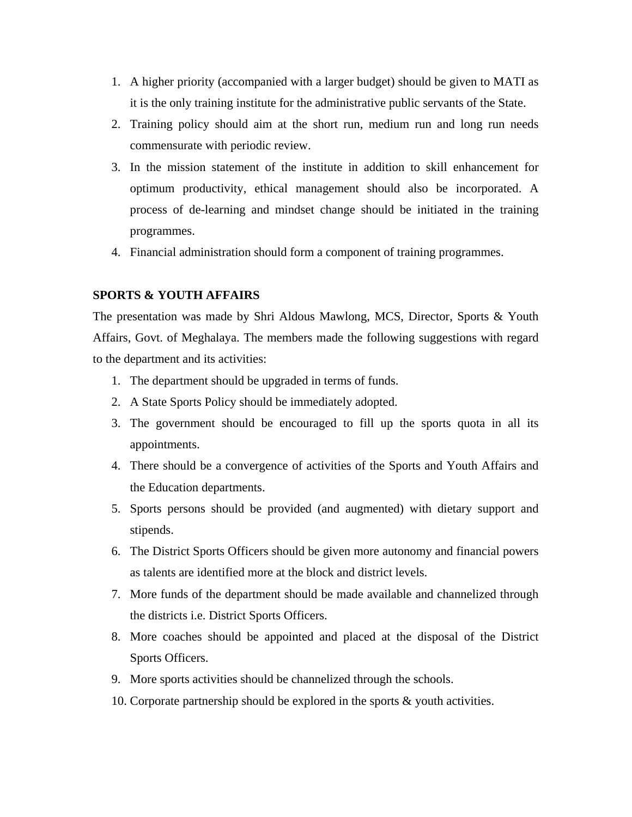- 1. A higher priority (accompanied with a larger budget) should be given to MATI as it is the only training institute for the administrative public servants of the State.
- 2. Training policy should aim at the short run, medium run and long run needs commensurate with periodic review.
- 3. In the mission statement of the institute in addition to skill enhancement for optimum productivity, ethical management should also be incorporated. A process of de-learning and mindset change should be initiated in the training programmes.
- 4. Financial administration should form a component of training programmes.

## **SPORTS & YOUTH AFFAIRS**

The presentation was made by Shri Aldous Mawlong, MCS, Director, Sports & Youth Affairs, Govt. of Meghalaya. The members made the following suggestions with regard to the department and its activities:

- 1. The department should be upgraded in terms of funds.
- 2. A State Sports Policy should be immediately adopted.
- 3. The government should be encouraged to fill up the sports quota in all its appointments.
- 4. There should be a convergence of activities of the Sports and Youth Affairs and the Education departments.
- 5. Sports persons should be provided (and augmented) with dietary support and stipends.
- 6. The District Sports Officers should be given more autonomy and financial powers as talents are identified more at the block and district levels.
- 7. More funds of the department should be made available and channelized through the districts i.e. District Sports Officers.
- 8. More coaches should be appointed and placed at the disposal of the District Sports Officers.
- 9. More sports activities should be channelized through the schools.
- 10. Corporate partnership should be explored in the sports & youth activities.